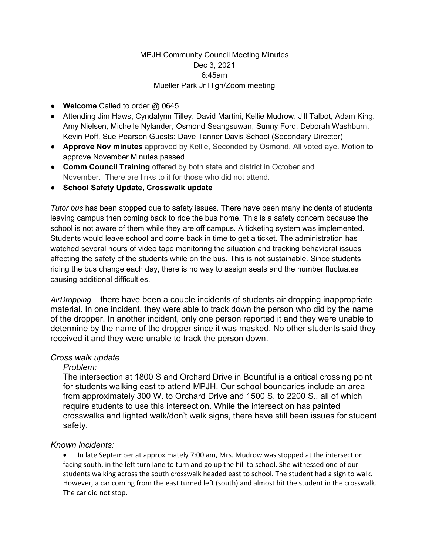## MPJH Community Council Meeting Minutes Dec 3, 2021 6:45am Mueller Park Jr High/Zoom meeting

- **Welcome** Called to order @ 0645
- Attending Jim Haws, Cyndalynn Tilley, David Martini, Kellie Mudrow, Jill Talbot, Adam King, Amy Nielsen, Michelle Nylander, Osmond Seangsuwan, Sunny Ford, Deborah Washburn, Kevin Poff, Sue Pearson Guests: Dave Tanner Davis School (Secondary Director)
- **Approve Nov minutes** approved by Kellie, Seconded by Osmond. All voted aye. Motion to approve November Minutes passed
- **Comm Council Training** offered by both state and district in October and November. There are links to it for those who did not attend.
- **School Safety Update, Crosswalk update**

*Tutor bus* has been stopped due to safety issues. There have been many incidents of students leaving campus then coming back to ride the bus home. This is a safety concern because the school is not aware of them while they are off campus. A ticketing system was implemented. Students would leave school and come back in time to get a ticket. The administration has watched several hours of video tape monitoring the situation and tracking behavioral issues affecting the safety of the students while on the bus. This is not sustainable. Since students riding the bus change each day, there is no way to assign seats and the number fluctuates causing additional difficulties.

*AirDropping* – there have been a couple incidents of students air dropping inappropriate material. In one incident, they were able to track down the person who did by the name of the dropper. In another incident, only one person reported it and they were unable to determine by the name of the dropper since it was masked. No other students said they received it and they were unable to track the person down.

## *Cross walk update*

### *Problem:*

The intersection at 1800 S and Orchard Drive in Bountiful is a critical crossing point for students walking east to attend MPJH. Our school boundaries include an area from approximately 300 W. to Orchard Drive and 1500 S. to 2200 S., all of which require students to use this intersection. While the intersection has painted crosswalks and lighted walk/don't walk signs, there have still been issues for student safety.

### *Known incidents:*

• In late September at approximately 7:00 am, Mrs. Mudrow was stopped at the intersection facing south, in the left turn lane to turn and go up the hill to school. She witnessed one of our students walking across the south crosswalk headed east to school. The student had a sign to walk. However, a car coming from the east turned left (south) and almost hit the student in the crosswalk. The car did not stop.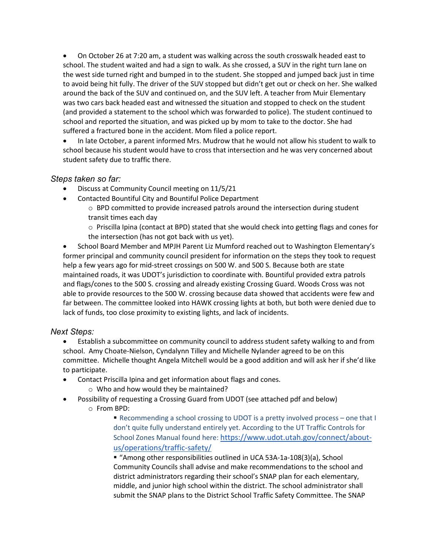• On October 26 at 7:20 am, a student was walking across the south crosswalk headed east to school. The student waited and had a sign to walk. As she crossed, a SUV in the right turn lane on the west side turned right and bumped in to the student. She stopped and jumped back just in time to avoid being hit fully. The driver of the SUV stopped but didn't get out or check on her. She walked around the back of the SUV and continued on, and the SUV left. A teacher from Muir Elementary was two cars back headed east and witnessed the situation and stopped to check on the student (and provided a statement to the school which was forwarded to police). The student continued to school and reported the situation, and was picked up by mom to take to the doctor. She had suffered a fractured bone in the accident. Mom filed a police report.

• In late October, a parent informed Mrs. Mudrow that he would not allow his student to walk to school because his student would have to cross that intersection and he was very concerned about student safety due to traffic there.

### *Steps taken so far:*

- Discuss at Community Council meeting on 11/5/21
- Contacted Bountiful City and Bountiful Police Department
	- $\circ$  BPD committed to provide increased patrols around the intersection during student transit times each day
		- o Priscilla Ipina (contact at BPD) stated that she would check into getting flags and cones for the intersection (has not got back with us yet).

• School Board Member and MPJH Parent Liz Mumford reached out to Washington Elementary's former principal and community council president for information on the steps they took to request help a few years ago for mid-street crossings on 500 W. and 500 S. Because both are state maintained roads, it was UDOT's jurisdiction to coordinate with. Bountiful provided extra patrols and flags/cones to the 500 S. crossing and already existing Crossing Guard. Woods Cross was not able to provide resources to the 500 W. crossing because data showed that accidents were few and far between. The committee looked into HAWK crossing lights at both, but both were denied due to lack of funds, too close proximity to existing lights, and lack of incidents.

### *Next Steps:*

• Establish a subcommittee on community council to address student safety walking to and from school. Amy Choate-Nielson, Cyndalynn Tilley and Michelle Nylander agreed to be on this committee. Michelle thought Angela Mitchell would be a good addition and will ask her if she'd like to participate.

- Contact Priscilla Ipina and get information about flags and cones.
	- o Who and how would they be maintained?
- Possibility of requesting a Crossing Guard from UDOT (see attached pdf and below)
	- o From BPD:

 Recommending a school crossing to UDOT is a pretty involved process – one that I don't quite fully understand entirely yet. According to the UT Traffic Controls for School Zones Manual found here: [https://www.udot.utah.gov/connect/about](about:blank)[us/operations/traffic-safety/](about:blank)

 "Among other responsibilities outlined in UCA 53A-1a-108(3)(a), School Community Councils shall advise and make recommendations to the school and district administrators regarding their school's SNAP plan for each elementary, middle, and junior high school within the district. The school administrator shall submit the SNAP plans to the District School Traffic Safety Committee. The SNAP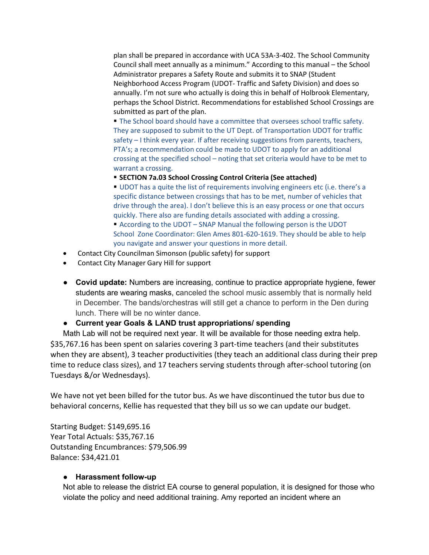plan shall be prepared in accordance with UCA 53A-3-402. The School Community Council shall meet annually as a minimum." According to this manual – the School Administrator prepares a Safety Route and submits it to SNAP (Student Neighborhood Access Program (UDOT- Traffic and Safety Division) and does so annually. I'm not sure who actually is doing this in behalf of Holbrook Elementary, perhaps the School District. Recommendations for established School Crossings are submitted as part of the plan.

 The School board should have a committee that oversees school traffic safety. They are supposed to submit to the UT Dept. of Transportation UDOT for traffic safety – I think every year. If after receiving suggestions from parents, teachers, PTA's; a recommendation could be made to UDOT to apply for an additional crossing at the specified school – noting that set criteria would have to be met to warrant a crossing.

**SECTION 7a.03 School Crossing Control Criteria (See attached)**

 UDOT has a quite the list of requirements involving engineers etc (i.e. there's a specific distance between crossings that has to be met, number of vehicles that drive through the area). I don't believe this is an easy process or one that occurs quickly. There also are funding details associated with adding a crossing.

■ According to the UDOT – SNAP Manual the following person is the UDOT School Zone Coordinator: Glen Ames 801-620-1619. They should be able to help you navigate and answer your questions in more detail.

- Contact City Councilman Simonson (public safety) for support
- Contact City Manager Gary Hill for support
- **Covid update:** Numbers are increasing, continue to practice appropriate hygiene, fewer students are wearing masks, canceled the school music assembly that is normally held in December. The bands/orchestras will still get a chance to perform in the Den during lunch. There will be no winter dance.

### ● **Current year Goals & LAND trust appropriations/ spending**

Math Lab will not be required next year. It will be available for those needing extra help. \$35,767.16 has been spent on salaries covering 3 part-time teachers (and their substitutes when they are absent), 3 teacher productivities (they teach an additional class during their prep time to reduce class sizes), and 17 teachers serving students through after-school tutoring (on Tuesdays &/or Wednesdays).

We have not yet been billed for the tutor bus. As we have discontinued the tutor bus due to behavioral concerns, Kellie has requested that they bill us so we can update our budget.

Starting Budget: \$149,695.16 Year Total Actuals: \$35,767.16 Outstanding Encumbrances: \$79,506.99 Balance: \$34,421.01

#### ● **Harassment follow-up**

Not able to release the district EA course to general population, it is designed for those who violate the policy and need additional training. Amy reported an incident where an